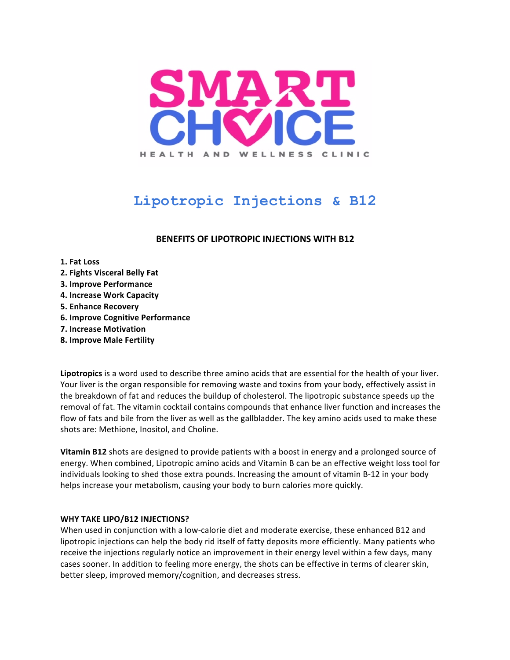

# **Lipotropic Injections & B12**

# **BENEFITS OF LIPOTROPIC INJECTIONS WITH B12**

#### **1. Fat Loss**

- **2. Fights Visceral Belly Fat**
- **3. Improve Performance**
- **4. Increase Work Capacity**
- **5. Enhance Recovery**
- **6. Improve Cognitive Performance**
- **7. Increase Motivation**
- **8. Improve Male Fertility**

**Lipotropics** is a word used to describe three amino acids that are essential for the health of your liver. Your liver is the organ responsible for removing waste and toxins from your body, effectively assist in the breakdown of fat and reduces the buildup of cholesterol. The lipotropic substance speeds up the removal of fat. The vitamin cocktail contains compounds that enhance liver function and increases the flow of fats and bile from the liver as well as the gallbladder. The key amino acids used to make these shots are: Methione, Inositol, and Choline.

**Vitamin B12** shots are designed to provide patients with a boost in energy and a prolonged source of energy. When combined, Lipotropic amino acids and Vitamin B can be an effective weight loss tool for individuals looking to shed those extra pounds. Increasing the amount of vitamin B-12 in your body helps increase your metabolism, causing your body to burn calories more quickly.

### **WHY TAKE LIPO/B12 INJECTIONS?**

When used in conjunction with a low-calorie diet and moderate exercise, these enhanced B12 and lipotropic injections can help the body rid itself of fatty deposits more efficiently. Many patients who receive the injections regularly notice an improvement in their energy level within a few days, many cases sooner. In addition to feeling more energy, the shots can be effective in terms of clearer skin, better sleep, improved memory/cognition, and decreases stress.